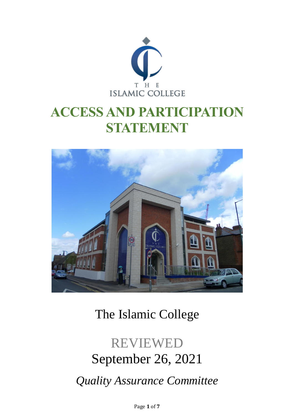

# **ACCESS AND PARTICIPATION STATEMENT**



# The Islamic College

# REVIEWED September 26, 2021 *Quality Assurance Committee*

Page **1** of **7**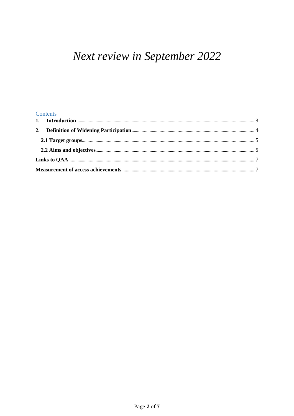# Next review in September 2022

#### Contents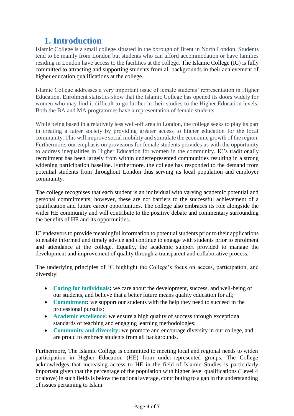# <span id="page-2-0"></span>**1. Introduction**

Islamic College is a small college situated in the borough of Brent in North London. Students tend to be mainly from London but students who can afford accommodation or have families residing in London have access to the facilities at the college. The Islamic College (IC) is fully committed to attracting and supporting students from all backgrounds in their achievement of higher education qualifications at the college.

Islamic College addresses a very important issue of female students' representation in Higher Education. Enrolment statistics show that the Islamic College has opened its doors widely for women who may find it difficult to go further in their studies to the Higher Education levels. Both the BA and MA programmes have a representation of female students.

While being based in a relatively less well-off area in London, the college seeks to play its part in creating a fairer society by providing greater access to higher education for the local community. This will improve social mobility and stimulate the economic growth of the region. Furthermore, our emphasis on provisions for female students provides us with the opportunity to address inequalities in Higher Education for women in the community. IC's traditionally recruitment has been largely from within underrepresented communities resulting in a strong widening participation baseline. Furthermore, the college has responded to the demand from potential students from throughout London thus serving its local population and employer community.

The college recognises that each student is an individual with varying academic potential and personal commitments; however, these are not barriers to the successful achievement of a qualification and future career opportunities. The college also embraces its role alongside the wider HE community and will contribute to the positive debate and commentary surrounding the benefits of HE and its opportunities.

IC endeavors to provide meaningful information to potential students prior to their applications to enable informed and timely advice and continue to engage with students prior to enrolment and attendance at the college. Equally, the academic support provided to manage the development and improvement of quality through a transparent and collaborative process.

The underlying principles of IC highlight the College's focus on access, participation, and diversity:

- **Caring for individuals:** we care about the development, success, and well-being of our students, and believe that a better future means quality education for all;
- **Commitment:** we support our students with the help they need to succeed in the professional pursuits;
- **Academic excellence:** we ensure a high quality of success through exceptional standards of teaching and engaging learning methodologies;
- **Community and diversity:** we promote and encourage diversity in our college, and are proud to embrace students from all backgrounds.

Furthermore, The Islamic College is committed to meeting local and regional needs to widen participation in Higher Education (HE) from under-represented groups. The College acknowledges that increasing access to HE in the field of Islamic Studies is particularly important given that the percentage of the population with higher level qualifications (Level 4 or above) in such fields is below the national average, contributing to a gap in the understanding of issues pertaining to Islam.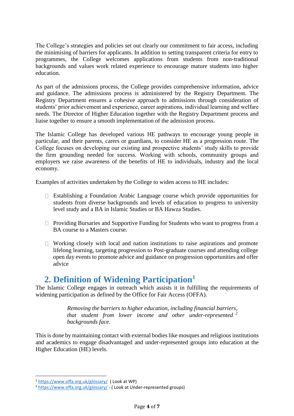The College's strategies and policies set out clearly our commitment to fair access, including the minimising of barriers for applicants. In addition to setting transparent criteria for entry to programmes, the College welcomes applications from students from non-traditional backgrounds and values work related experience to encourage mature students into higher education.

As part of the admissions process, the College provides comprehensive information, advice and guidance. The admissions process is administered by the Registry Department. The Registry Department ensures a cohesive approach to admissions through consideration of students' prior achievement and experience, career aspirations, individual learning and welfare needs. The Director of Higher Education together with the Registry Department process and liaise together to ensure a smooth implementation of the admission process.

The Islamic College has developed various HE pathways to encourage young people in particular, and their parents, carers or guardians, to consider HE as a progression route. The College focuses on developing our existing and prospective students' study skills to provide the firm grounding needed for success. Working with schools, community groups and employers we raise awareness of the benefits of HE to individuals, industry and the local economy.

Examples of activities undertaken by the College to widen access to HE includes:

- $\Box$  Establishing a Foundation Arabic Language course which provide opportunities for students from diverse backgrounds and levels of education to progress to university level study and a BA in Islamic Studies or BA Hawza Studies.
- $\Box$  Providing Bursaries and Supportive Funding for Students who want to progress from a BA course to a Masters course.
- $\Box$  Working closely with local and nation institutions to raise aspirations and promote lifelong learning, targeting progression to Post-graduate courses and attending college open day events to promote advice and guidance on progression opportunities and offer advice

### <span id="page-3-0"></span>**2. Definition of Widening Participation<sup>1</sup>**

The Islamic College engages in outreach which assists it in fulfilling the requirements of widening participation as defined by the Office for Fair Access (OFFA).

> *Removing the barriers to higher education, including financial barriers, that student from lower income and other under-represented <sup>2</sup> backgrounds face.*

This is done by maintaining contact with external bodies like mosques and religious institutions and academics to engage disadvantaged and under-represented groups into education at the Higher Education (HE) levels.

 $\overline{a}$ 

<sup>1</sup> <https://www.offa.org.uk/glossary/>( Look at WP)

<sup>2</sup> <https://www.offa.org.uk/glossary/> - ( Look at Under-represented groups)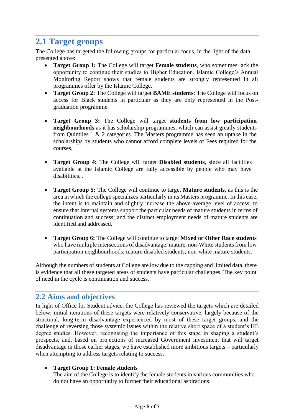# <span id="page-4-0"></span>**2.1 Target groups**

The College has targeted the following groups for particular focus, in the light of the data presented above:

- **Target Group 1:** The College will target **Female students**, who sometimes lack the opportunity to continue their studies to Higher Education. Islamic College's Annual Monitoring Report shows that female students are strongly represented in all programmes offer by the Islamic College.
- **Target Group 2:** The College will target **BAME students**: The College will focus on access for Black students in particular as they are only represented in the Postgraduation programme.
- **Target Group 3:** The College will target **students from low participation neighbourhoods** as it has scholarship programmes, which can assist greatly students from Quintiles 1 & 2 categories. The Masters programme has seen an uptake in the scholarships by students who cannot afford complete levels of Fees required for the courses.
- **Target Group 4:** The College will target **Disabled students**, since all facilities available at the Islamic College are fully accessible by people who may have disabilities. .
- **Target Group 5:** The College will continue to target **Mature students**, as this is the area in which the college specializes particularly in its Masters programme. In this case, the intent is to maintain and slightly increase the above-average level of access; to ensure that internal systems support the particular needs of mature students in terms of continuation and success; and the distinct employment needs of mature students are identified and addressed.
- **Target Group 6:** The College will continue to target **Mixed or Other Race students** who have multiple intersections of disadvantage: mature, non-White students from low participation neighbourhoods; mature disabled students; non-white mature students.

Although the numbers of students at College are low due to the capping and limited data, there is evidence that all these targeted areas of students have particular challenges. The key point of need in the cycle is continuation and success.

### <span id="page-4-1"></span>**2.2 Aims and objectives**

In light of Office for Student advice, the College has reviewed the targets which are detailed below: initial iterations of these targets were relatively conservative, largely because of the structural, long-term disadvantage experienced by most of these target groups, and the challenge of reversing those systemic issues within the relative short space of a student's HE degree studies. However, recognising the importance of this stage in shaping a student's prospects, and, based on projections of increased Government investment that will target disadvantage in those earlier stages, we have established more ambitious targets – particularly when attempting to address targets relating to success.

#### **Target Group 1: Female students**

The aim of the College is to identify the female students in various communities who do not have an opportunity to further their educational aspirations.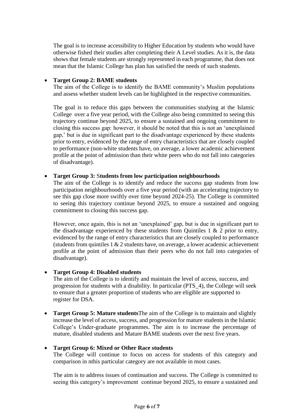The goal is to increase accessibility to Higher Education by students who would have otherwise fished their studies after completing their A Level studies. As it is, the data shows that female students are strongly represented in each programme, that does not mean that the Islamic College has plan has satisfied the needs of such students.

#### **Target Group 2: BAME students**

The aim of the College is to identify the BAME community's Muslim populations and assess whether student levels can be highlighted in the respective communities.

The goal is to reduce this gaps between the communities studying at the Islamic College over a five year period, with the College also being committed to seeing this trajectory continue beyond 2025, to ensure a sustained and ongoing commitment to closing this success gap: however, it should be noted that this is not an 'unexplained gap,' but is due in significant part to the disadvantage experienced by these students prior to entry, evidenced by the range of entry characteristics that are closely coupled to performance (non-white students have, on average, a lower academic achievement profile at the point of admission than their white peers who do not fall into categories of disadvantage).

#### **Target Group 3:** S**tudents from low participation neighbourhoods**

The aim of the College is to identify and reduce the success gap students from low participation neighbourhoods over a five year period (with an accelerating trajectory to see this gap close more swiftly over time beyond 2024-25). The College is committed to seeing this trajectory continue beyond 2025, to ensure a sustained and ongoing commitment to closing this success gap.

However, once again, this is not an 'unexplained' gap, but is due in significant part to the disadvantage experienced by these students from Quintiles 1  $\&$  2 prior to entry, evidenced by the range of entry characteristics that are closely coupled to performance (students from quintiles  $1 \& 2$  students have, on average, a lower academic achievement profile at the point of admission than their peers who do not fall into categories of disadvantage).

#### **Target Group 4: Disabled students**

The aim of the College is to identify and maintain the level of access, success, and progression for students with a disability. In particular (PTS\_4), the College will seek to ensure that a greater proportion of students who are eligible are supported to register for DSA.

 **Target Group 5: Mature students**The aim of the College is to maintain and slightly increase the level of access, success, and progression for mature students in the Islamic College's Under-graduate programmes. The aim is to increase the percentage of mature, disabled students and Mature BAME students over the next five years.

#### **Target Group 6: Mixed or Other Race students**

The College will continue to focus on access for students of this category and comparison in nthis particular category are not available in most cases.

The aim is to address issues of continuation and success. The College is committed to seeing this category's improvement continue beyond 2025, to ensure a sustained and